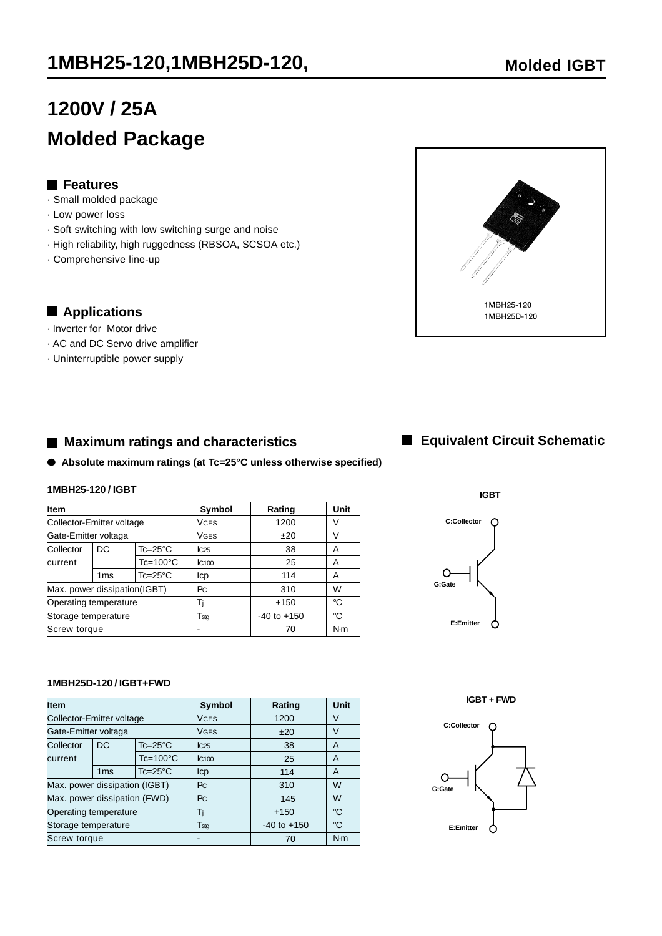## **1MBH25-120,1MBH25D-120, Molded IGBT**

# **1200V / 25A Molded Package**

## **Features**

- · Small molded package
- · Low power loss
- · Soft switching with low switching surge and noise
- · High reliability, high ruggedness (RBSOA, SCSOA etc.)
- · Comprehensive line-up

## **Applications**

- · Inverter for Motor drive
- · AC and DC Servo drive amplifier
- · Uninterruptible power supply

## ■ Maximum ratings and characteristics

**Absolute maximum ratings (at Tc=25°C unless otherwise specified)**

#### **1MBH25-120 / IGBT**

| Item                         |                 |                     | Symbol          | Rating          | Unit |
|------------------------------|-----------------|---------------------|-----------------|-----------------|------|
| Collector-Emitter voltage    |                 |                     | <b>VCES</b>     | 1200            | V    |
| Gate-Emitter voltaga         |                 |                     | VGES            | ±20             | V    |
| Collector                    | DC              | $Tc = 25^{\circ}C$  | C <sub>25</sub> | 38              | Α    |
| current                      |                 | $Tc = 100^{\circ}C$ | IC100           | 25              | A    |
|                              | 1 <sub>ms</sub> | $Tc=25^{\circ}C$    | Icp             | 114             | A    |
| Max. power dissipation(IGBT) |                 |                     | Pc.             | 310             | W    |
| Operating temperature        |                 |                     | Ti              | $+150$          | °C   |
| Storage temperature          |                 |                     | Tstq            | $-40$ to $+150$ | °C   |
| Screw torque                 |                 |                     | -               | 70              | N·m  |

#### **1MBH25D-120 / IGBT+FWD**

| <b>Item</b>                   |                     |                  | <b>Symbol</b>     | Rating          | <b>Unit</b> |
|-------------------------------|---------------------|------------------|-------------------|-----------------|-------------|
| Collector-Emitter voltage     |                     |                  | <b>VCES</b>       | 1200            | V           |
| Gate-Emitter voltaga          |                     |                  | <b>VGES</b>       | ±20             | V           |
| Collector                     | DC                  | $Tc=25^{\circ}C$ | C <sub>25</sub>   | 38              | A           |
| current                       | $Tc = 100^{\circ}C$ |                  | IC <sub>100</sub> | 25              | A           |
|                               | 1 <sub>ms</sub>     | $Tc=25^{\circ}C$ | Icp               | 114             | A           |
| Max. power dissipation (IGBT) |                     |                  | P <sub>C</sub>    | 310             | W           |
| Max. power dissipation (FWD)  |                     |                  | Pc                | 145             | W           |
| Operating temperature         |                     |                  | Tì                | $+150$          | °C          |
| Storage temperature           |                     |                  | T <sub>stg</sub>  | $-40$ to $+150$ | °C          |
| Screw torque                  |                     |                  |                   | 70              | N·m         |

## **Equivalent Circuit Schematic**

**IGBT**

 $\cap$ 

**C:Collector**

**E:Emitter**

**G:Gate**

 $\circ$ 

#### **IGBT + FWD**

Ω



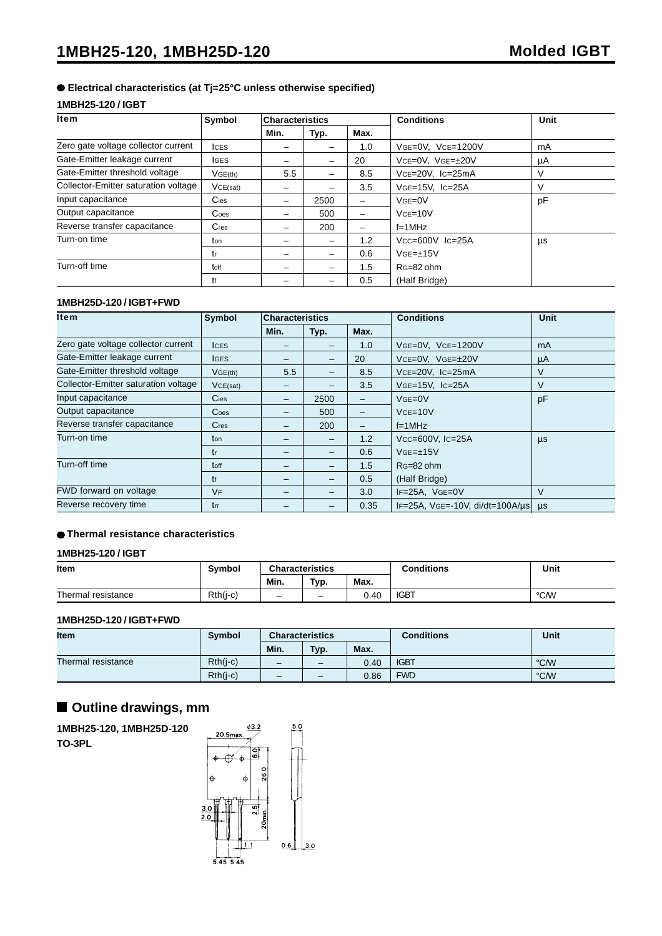#### **Electrical characteristics (at Tj=25°C unless otherwise specified)**

#### **1MBH25-120 / IGBT**

| <b>Item</b>                          | Symbol           | <b>Characteristics</b> |      |      | <b>Conditions</b>       | Unit |
|--------------------------------------|------------------|------------------------|------|------|-------------------------|------|
|                                      |                  | Min.                   | Typ. | Max. |                         |      |
| Zero gate voltage collector current  | <b>ICES</b>      |                        |      | 1.0  | VGE=0V, VCE=1200V       | mA   |
| Gate-Emitter leakage current         | <b>IGES</b>      |                        |      | 20   | VCE=0V, VGE=±20V        | μA   |
| Gate-Emitter threshold voltage       | VGE(th)          | 5.5                    |      | 8.5  | VCE=20V, IC=25mA        | V    |
| Collector-Emitter saturation voltage | VCE(sat)         |                        |      | 3.5  | $VGE=15V$ . $IC=25A$    | V    |
| Input capacitance                    | $C$ ies          | -                      | 2500 |      | $VGE=0V$                | pF   |
| Output capacitance                   | $\mathsf{Coes}\$ |                        | 500  | -    | $VCE=10V$               |      |
| Reverse transfer capacitance         | Cres             |                        | 200  |      | $f=1MHz$                |      |
| Turn-on time                         | ton              |                        |      | 1.2  | $Vcc = 600V$ $lc = 25A$ | μs   |
|                                      | tr               |                        |      | 0.6  | $VGE=\pm 15V$           |      |
| Turn-off time                        | toff             |                        |      | 1.5  | RG=82 ohm               |      |
|                                      | tf               |                        |      | 0.5  | (Half Bridge)           |      |

#### **1MBH25D-120 / IGBT+FWD**

| ltem                                 | Symbol          | <b>Characteristics</b> |      |      | <b>Conditions</b>                                  | <b>Unit</b> |
|--------------------------------------|-----------------|------------------------|------|------|----------------------------------------------------|-------------|
|                                      |                 | Min.                   | Typ. | Max. |                                                    |             |
| Zero gate voltage collector current  | <b>ICES</b>     |                        |      | 1.0  | VGE=0V, VCE=1200V                                  | mA          |
| Gate-Emitter leakage current         | <b>IGES</b>     |                        |      | 20   | $VCE=OV, VGE=\pm 20V$                              | μA          |
| Gate-Emitter threshold voltage       | VGE(th)         | 5.5                    |      | 8.5  | $Vce=20V$ , $Ic=25mA$                              | V           |
| Collector-Emitter saturation voltage | VCE(sat)        |                        |      | 3.5  | $VGE=15V$ , $IC=25A$                               | V           |
| Input capacitance                    | Cies            |                        | 2500 | -    | $VGE=0V$                                           | pF          |
| Output capacitance                   | $\mathsf{Coes}$ |                        | 500  | -    | $VCE=10V$                                          |             |
| Reverse transfer capacitance         | $C$ res         |                        | 200  | -    | $f=1$ MHz                                          |             |
| Turn-on time                         | ton             |                        |      | 1.2  | $Vcc = 600V$ , $lc = 25A$                          | $\mu s$     |
|                                      | tr              |                        |      | 0.6  | $VGE=\pm 15V$                                      |             |
| Turn-off time                        | toff            |                        |      | 1.5  | $RG=82$ ohm                                        |             |
|                                      | tf              |                        |      | 0.5  | (Half Bridge)                                      |             |
| FWD forward on voltage               | VF              |                        |      | 3.0  | $IF=25A$ , $VGE=0V$                                | $\vee$      |
| Reverse recovery time                | trr             |                        |      | 0.35 | $IF=25A$ , $VGE=.10V$ , $di/dt=100A/\mu s$ $\mu s$ |             |

#### **Thermal resistance characteristics**

#### **1MBH25-120 / IGBT**

| Item               | <b>Symbol</b> | <b>Characteristics</b>   |                   |      | <b>Conditions</b> | Unit |
|--------------------|---------------|--------------------------|-------------------|------|-------------------|------|
|                    |               | Min.                     | Typ.              | Max. |                   |      |
| Thermal resistance | $Rth(j-c)$    | $\overline{\phantom{0}}$ | $\qquad \qquad -$ | 0.40 | <b>IGBT</b>       | °C/W |

#### **1MBH25D-120 / IGBT+FWD**

| <b>Item</b>        | <b>Symbol</b> | <b>Characteristics</b>   |                          |      | <b>Conditions</b> | Unit |
|--------------------|---------------|--------------------------|--------------------------|------|-------------------|------|
|                    |               | Min.                     | Typ.                     | Max. |                   |      |
| Thermal resistance | $Rth(j-c)$    | $\overline{\phantom{0}}$ | $\overline{\phantom{0}}$ | 0.40 | <b>IGBT</b>       | °C/W |
|                    | $Rth(i-c)$    | $\qquad \qquad$          | $\overline{\phantom{0}}$ | 0.86 | <b>FWD</b>        | °C/W |

## **Outline drawings, mm**

**1MBH25-120, 1MBH25D-120 TO-3PL**

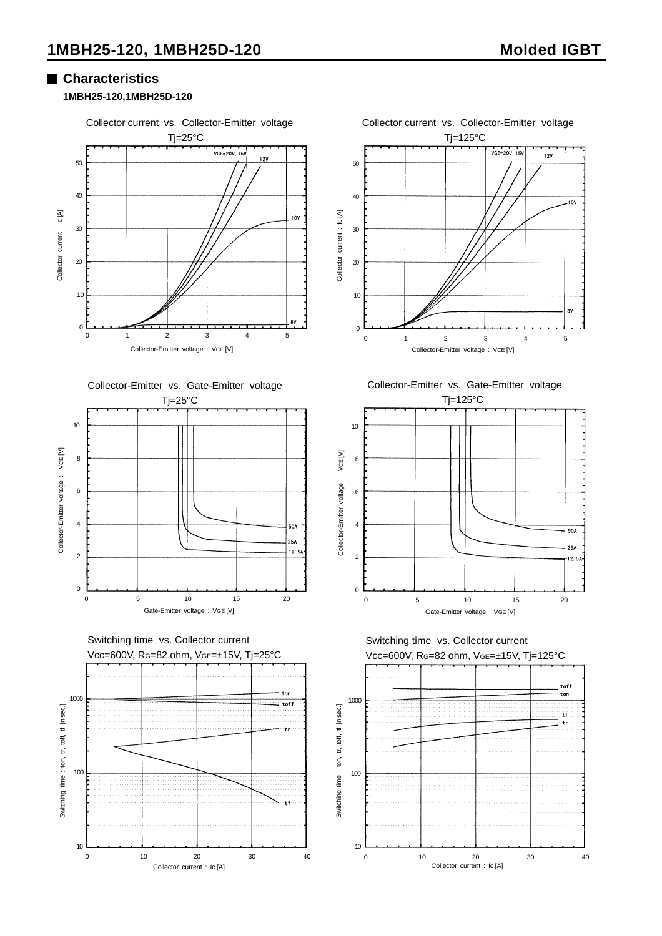## **Characteristics**

#### **1MBH25-120,1MBH25D-120**







Switching time vs. Collector current Vcc=600V, RG=82 ohm, VGE=±15V, Tj=25°C











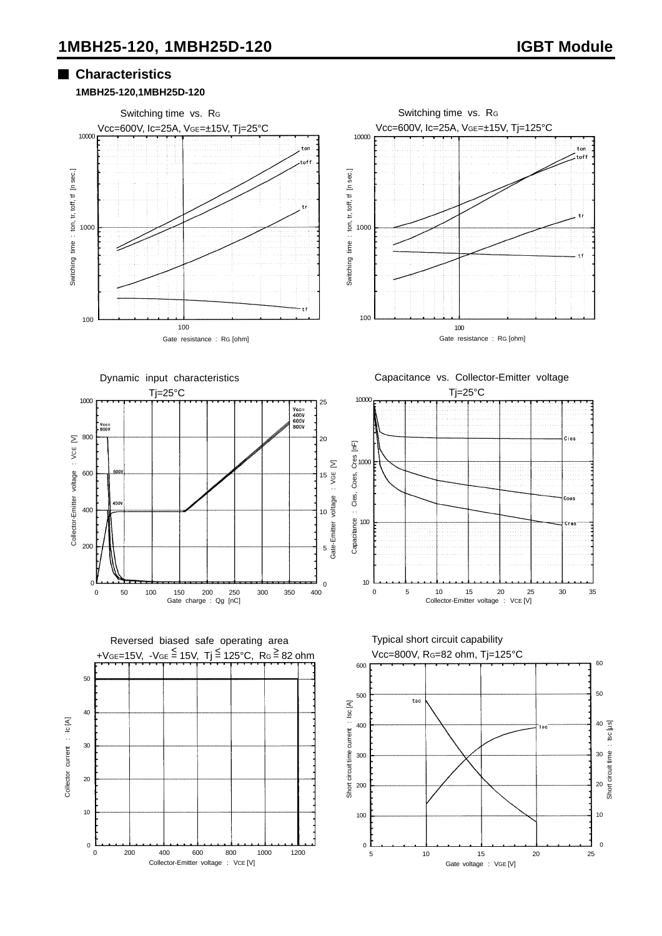## **Characteristics**